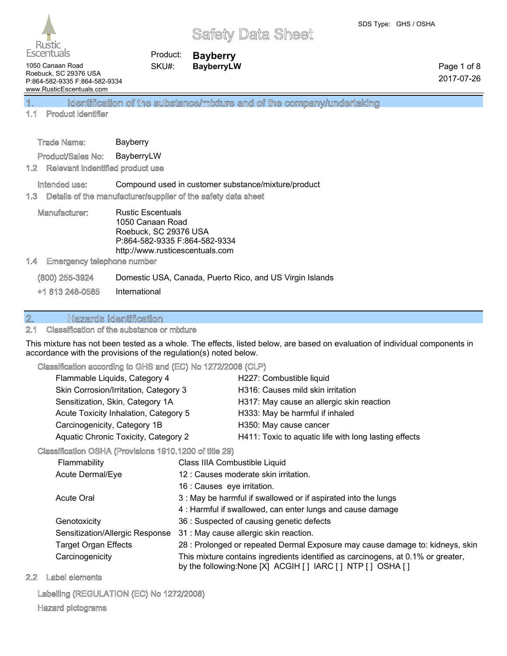

Product: **Bayberry** SKU#: **BayberryLW**

1050 Canaan Road Roebuck, SC 29376 USA P:864-582-9335 F:864-582-9334 www.RusticEscentuals.com

Page 1 of 8 2017-07-26

## 1. Identification of the substance/mixture and of the company/undertaking

### 1.1 Product identifier

Product/Sales No: BayberryLW

#### 1.2 Relevant indentified product use

Intended use: Compound used in customer substance/mixture/product

#### 1.3 Details of the manufacturer/supplier of the safety data sheet

Manufacturer: Rustic Escentuals 1050 Canaan Road Roebuck, SC 29376 USA P:864-582-9335 F:864-582-9334 http://www.rusticescentuals.com

#### 1.4 Emergency telephone number

(800) 255-3924 Domestic USA, Canada, Puerto Rico, and US Virgin Islands +1 813 248-0585 International

### 2. Hazards Identification

### 2.1 Classification of the substance or mixture

This mixture has not been tested as a whole. The effects, listed below, are based on evaluation of individual components in accordance with the provisions of the regulation(s) noted below.

#### Classification according to GHS and (EC) No 1272/2008 (CLP)

| Flammable Liquids, Category 4         | H227: Combustible liquid                              |
|---------------------------------------|-------------------------------------------------------|
| Skin Corrosion/Irritation, Category 3 | H316: Causes mild skin irritation                     |
| Sensitization, Skin, Category 1A      | H317: May cause an allergic skin reaction             |
| Acute Toxicity Inhalation, Category 5 | H333: May be harmful if inhaled                       |
| Carcinogenicity, Category 1B          | H350: May cause cancer                                |
| Aquatic Chronic Toxicity, Category 2  | H411: Toxic to aquatic life with long lasting effects |
|                                       |                                                       |

#### Classification OSHA (Provisions 1910.1200 of title 29)

| Flammability                    | Class IIIA Combustible Liquid                                                                                                                  |
|---------------------------------|------------------------------------------------------------------------------------------------------------------------------------------------|
| Acute Dermal/Eye                | 12 : Causes moderate skin irritation.                                                                                                          |
|                                 | 16 : Causes eye irritation.                                                                                                                    |
| Acute Oral                      | 3 : May be harmful if swallowed or if aspirated into the lungs                                                                                 |
|                                 | 4: Harmful if swallowed, can enter lungs and cause damage                                                                                      |
| Genotoxicity                    | 36 : Suspected of causing genetic defects                                                                                                      |
| Sensitization/Allergic Response | 31 : May cause allergic skin reaction.                                                                                                         |
| <b>Target Organ Effects</b>     | 28 : Prolonged or repeated Dermal Exposure may cause damage to: kidneys, skin                                                                  |
| Carcinogenicity                 | This mixture contains ingredients identified as carcinogens, at 0.1% or greater,<br>by the following: None [X] ACGIH [] IARC [] NTP [] OSHA [] |

#### 2.2 Label elements

#### Labelling (REGULATION (EC) No 1272/2008)

#### Hazard pictograms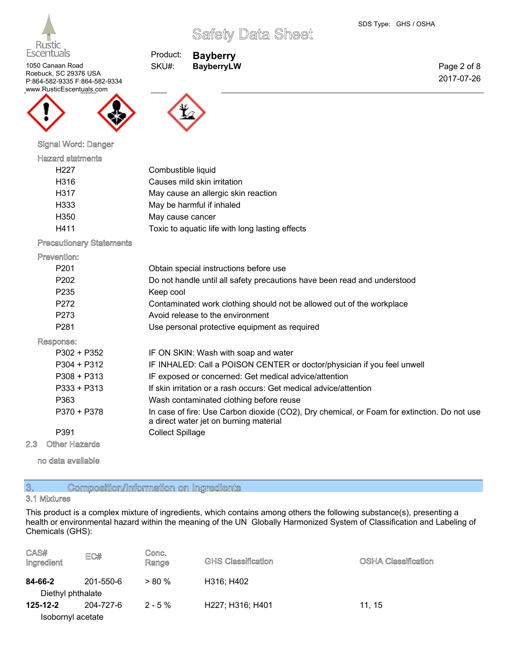

Page 2 of 8 2017-07-26

1050 Canaan Road Roebuck, SC 29376 USA P:864-582-9335 F:864-582-9334 www.RusticEscentuals.com



## Signal Word: Danger

#### Hazard statments

| H227 | Combustible liquid                              |
|------|-------------------------------------------------|
| H316 | Causes mild skin irritation                     |
| H317 | May cause an allergic skin reaction             |
| H333 | May be harmful if inhaled                       |
| H350 | May cause cancer                                |
| H411 | Toxic to aquatic life with long lasting effects |

Product: **Bayberry** SKU#: **BayberryLW**

#### Precautionary Statements

#### Prevention:

| P <sub>201</sub> | Obtain special instructions before use                                                                                                |
|------------------|---------------------------------------------------------------------------------------------------------------------------------------|
| P <sub>202</sub> | Do not handle until all safety precautions have been read and understood                                                              |
| P <sub>235</sub> | Keep cool                                                                                                                             |
| P272             | Contaminated work clothing should not be allowed out of the workplace                                                                 |
| P273             | Avoid release to the environment                                                                                                      |
| P <sub>281</sub> | Use personal protective equipment as required                                                                                         |
| Response:        |                                                                                                                                       |
| P302 + P352      | IF ON SKIN: Wash with soap and water                                                                                                  |
| P304 + P312      | IF INHALED: Call a POISON CENTER or doctor/physician if you feel unwell                                                               |
| $P308 + P313$    | IF exposed or concerned: Get medical advice/attention                                                                                 |
| $P333 + P313$    | If skin irritation or a rash occurs: Get medical advice/attention                                                                     |
| P363             | Wash contaminated clothing before reuse                                                                                               |
| P370 + P378      | In case of fire: Use Carbon dioxide (CO2), Dry chemical, or Foam for extinction. Do not use<br>a direct water jet on burning material |
| P391             | <b>Collect Spillage</b>                                                                                                               |
|                  |                                                                                                                                       |

#### 2.3 Other Hazards

no data available

## 3. Composition/Information on Ingredients

### 3.1 Mixtures

This product is a complex mixture of ingredients, which contains among others the following substance(s), presenting a health or environmental hazard within the meaning of the UN Globally Harmonized System of Classification and Labeling of Chemicals (GHS):

| CAS#<br>Ingredient | EC#       | Conc.<br>Range | <b>GHS Classification</b> | <b>OSHA Classification</b> |
|--------------------|-----------|----------------|---------------------------|----------------------------|
| 84-66-2            | 201-550-6 | $> 80\%$       | H316; H402                |                            |
| Diethyl phthalate  |           |                |                           |                            |
| 125-12-2           | 204-727-6 | $2 - 5 \%$     | H227; H316; H401          | 11.15                      |
| Isobornyl acetate  |           |                |                           |                            |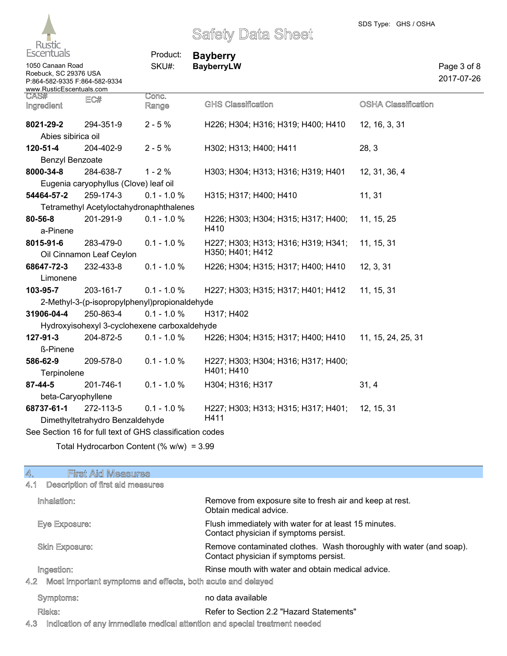

1050 Canaan Road

## Safety Data Sheet

Product: **Bayberry** SKU#: **BayberryLW**

Page 3 of 8 2017-07-26

| Roebuck, SC 29376 USA<br>P:864-582-9335 F:864-582-9334<br>www.RusticEscentuals.com |                                         |                                                          |                                                         |                            |
|------------------------------------------------------------------------------------|-----------------------------------------|----------------------------------------------------------|---------------------------------------------------------|----------------------------|
| CAS#<br>Ingredient                                                                 | EC#                                     | Conc.<br>Range                                           | <b>GHS Classification</b>                               | <b>OSHA Classification</b> |
| 8021-29-2                                                                          | 294-351-9                               | $2 - 5%$                                                 | H226; H304; H316; H319; H400; H410                      | 12, 16, 3, 31              |
| Abies sibirica oil                                                                 |                                         |                                                          |                                                         |                            |
| 120-51-4                                                                           | 204-402-9                               | $2 - 5%$                                                 | H302; H313; H400; H411                                  | 28, 3                      |
| <b>Benzyl Benzoate</b>                                                             |                                         |                                                          |                                                         |                            |
| 8000-34-8                                                                          | 284-638-7                               | $1 - 2%$                                                 | H303; H304; H313; H316; H319; H401                      | 12, 31, 36, 4              |
|                                                                                    | Eugenia caryophyllus (Clove) leaf oil   |                                                          |                                                         |                            |
| 54464-57-2                                                                         | 259-174-3                               | $0.1 - 1.0 %$                                            | H315; H317; H400; H410                                  | 11, 31                     |
|                                                                                    | Tetramethyl Acetyloctahydronaphthalenes |                                                          |                                                         |                            |
| 80-56-8                                                                            | 201-291-9                               | $0.1 - 1.0 %$                                            | H226; H303; H304; H315; H317; H400;<br>H410             | 11, 15, 25                 |
| a-Pinene                                                                           |                                         |                                                          |                                                         |                            |
| 8015-91-6                                                                          | 283-479-0<br>Oil Cinnamon Leaf Ceylon   | $0.1 - 1.0 %$                                            | H227; H303; H313; H316; H319; H341;<br>H350; H401; H412 | 11, 15, 31                 |
| 68647-72-3                                                                         | 232-433-8                               | $0.1 - 1.0 %$                                            | H226; H304; H315; H317; H400; H410                      | 12, 3, 31                  |
| Limonene                                                                           |                                         |                                                          |                                                         |                            |
| 103-95-7                                                                           | 203-161-7                               | $0.1 - 1.0 %$                                            | H227; H303; H315; H317; H401; H412                      | 11, 15, 31                 |
|                                                                                    |                                         | 2-Methyl-3-(p-isopropylphenyl)propionaldehyde            |                                                         |                            |
| 31906-04-4                                                                         | 250-863-4                               | $0.1 - 1.0 %$                                            | H317; H402                                              |                            |
|                                                                                    |                                         | Hydroxyisohexyl 3-cyclohexene carboxaldehyde             |                                                         |                            |
| 127-91-3                                                                           | 204-872-5                               | $0.1 - 1.0 %$                                            | H226; H304; H315; H317; H400; H410                      | 11, 15, 24, 25, 31         |
| ß-Pinene                                                                           |                                         |                                                          |                                                         |                            |
| 586-62-9<br>Terpinolene                                                            | 209-578-0                               | $0.1 - 1.0 %$                                            | H227; H303; H304; H316; H317; H400;<br>H401; H410       |                            |
| 87-44-5                                                                            | 201-746-1                               | $0.1 - 1.0 %$                                            | H304; H316; H317                                        | 31, 4                      |
| beta-Caryophyllene                                                                 |                                         |                                                          |                                                         |                            |
| 68737-61-1                                                                         | 272-113-5                               | $0.1 - 1.0 %$                                            | H227; H303; H313; H315; H317; H401;                     | 12, 15, 31                 |
|                                                                                    | Dimethyltetrahydro Benzaldehyde         |                                                          | H411                                                    |                            |
|                                                                                    |                                         | See Section 16 for full text of GHS classification codes |                                                         |                            |
|                                                                                    |                                         | $T$ atel Uudraaarhan Cantant (0/ $u$ hu) = 2.00          |                                                         |                            |

Total Hydrocarbon Content (% w/w) = 3.99

| <b>First Aid Measures</b><br>4.                                    |                                                                                                               |
|--------------------------------------------------------------------|---------------------------------------------------------------------------------------------------------------|
| Description of first aid measures<br>4.1                           |                                                                                                               |
| Inhalation:                                                        | Remove from exposure site to fresh air and keep at rest.<br>Obtain medical advice.                            |
| Eye Exposure:                                                      | Flush immediately with water for at least 15 minutes.<br>Contact physician if symptoms persist.               |
| <b>Skin Exposure:</b>                                              | Remove contaminated clothes. Wash thoroughly with water (and soap).<br>Contact physician if symptoms persist. |
| Ingestion:                                                         | Rinse mouth with water and obtain medical advice.                                                             |
| Most important symptoms and effects, both acute and delayed<br>4.2 |                                                                                                               |
| Symptoms:                                                          | no data available                                                                                             |
| Risks:                                                             | Refer to Section 2.2 "Hazard Statements"                                                                      |
|                                                                    |                                                                                                               |

4.3 Indication of any immediate medical attention and special treatment needed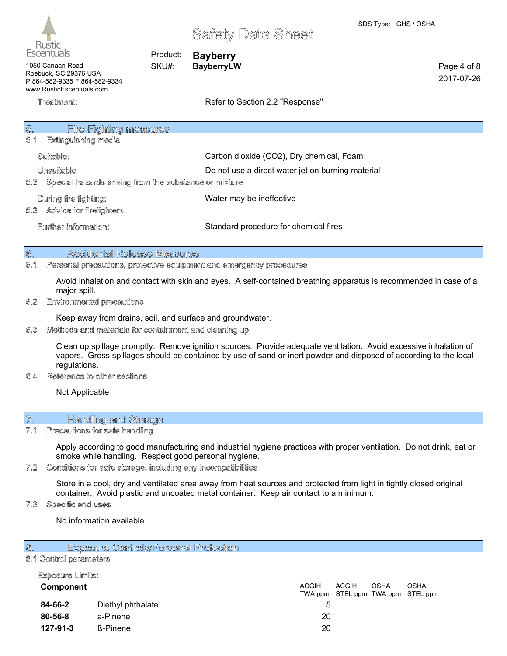Page 4 of 8 2017-07-26



## Safety Data Sheet

Product: **Bayberry** SKU#: **BayberryLW**

1050 Canaan Road Roebuck, SC 29376 USA P:864-582-9335 F:864-582-9334 www.RusticEscentuals.com

Treatment: Treatment: Treatment: Refer to Section 2.2 "Response"

| 5.<br><b>Fire-Fighting measures</b>                          |                                                   |
|--------------------------------------------------------------|---------------------------------------------------|
| 5.1<br><b>Extinguishing media</b>                            |                                                   |
| Suitable:                                                    | Carbon dioxide (CO2), Dry chemical, Foam          |
| Unsuitable                                                   | Do not use a direct water jet on burning material |
| Special hazards arising from the substance or mixture<br>5.2 |                                                   |
| During fire fighting:                                        | Water may be ineffective                          |
| Advice for firefighters<br>5.3                               |                                                   |
| Further information:                                         | Standard procedure for chemical fires             |
|                                                              |                                                   |

### 6. Accidental Release Measures

#### 6.1 Personal precautions, protective equipment and emergency procedures

Avoid inhalation and contact with skin and eyes. A self-contained breathing apparatus is recommended in case of a major spill.

#### 6.2 Environmental precautions

Keep away from drains, soil, and surface and groundwater.

#### 6.3 Methods and materials for containment and cleaning up

Clean up spillage promptly. Remove ignition sources. Provide adequate ventilation. Avoid excessive inhalation of vapors. Gross spillages should be contained by use of sand or inert powder and disposed of according to the local regulations.

#### 6.4 Reference to other sections

Not Applicable

### 7. Handling and Storage

#### 7.1 Precautions for safe handling

Apply according to good manufacturing and industrial hygiene practices with proper ventilation. Do not drink, eat or smoke while handling. Respect good personal hygiene.

#### 7.2 Conditions for safe storage, including any incompatibilities

Store in a cool, dry and ventilated area away from heat sources and protected from light in tightly closed original container. Avoid plastic and uncoated metal container. Keep air contact to a minimum.

#### 7.3 Specific end uses

No information available

#### 8. Exposure Controls/Personal Protection

#### 8.1 Control parameters

#### Exposure Limits:

| Component |                   | <b>ACGIH</b><br><b>ACGIH</b><br><b>OSHA</b><br><b>OSHA</b><br>TWA ppm STEL ppm TWA ppm STEL ppm |  |
|-----------|-------------------|-------------------------------------------------------------------------------------------------|--|
| 84-66-2   | Diethyl phthalate | 5                                                                                               |  |
| 80-56-8   | a-Pinene          | 20                                                                                              |  |
| 127-91-3  | <b>ß-Pinene</b>   | 20                                                                                              |  |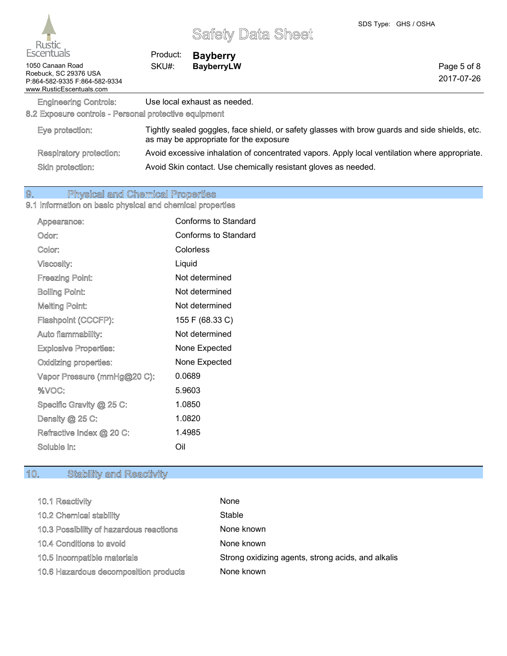| <b>Escentuals</b>                                                                                      | Product: | <b>Bayberry</b>                                                                                                                          |  |                           |
|--------------------------------------------------------------------------------------------------------|----------|------------------------------------------------------------------------------------------------------------------------------------------|--|---------------------------|
| 1050 Canaan Road<br>Roebuck. SC 29376 USA<br>P:864-582-9335 F:864-582-9334<br>www.RusticEscentuals.com | SKU#:    | <b>BayberryLW</b>                                                                                                                        |  | Page 5 of 8<br>2017-07-26 |
| <b>Engineering Controls:</b><br>8.2 Exposure controls - Personal protective equipment                  |          | Use local exhaust as needed.                                                                                                             |  |                           |
| Eye protection:                                                                                        |          | Tightly sealed goggles, face shield, or safety glasses with brow guards and side shields, etc.<br>as may be appropriate for the exposure |  |                           |
| Respiratory protection:                                                                                |          | Avoid excessive inhalation of concentrated vapors. Apply local ventilation where appropriate.                                            |  |                           |
| Skin protection:                                                                                       |          | Avoid Skin contact. Use chemically resistant gloves as needed.                                                                           |  |                           |

## 9. Physical and Chemical Properties

#### 9.1 Information on basic physical and chemical properties

| Appearance:                  | Conforms to Standard        |
|------------------------------|-----------------------------|
| Odor:                        | <b>Conforms to Standard</b> |
| Color:                       | Colorless                   |
| Viscosity:                   | Liquid                      |
| <b>Freezing Point:</b>       | Not determined              |
| <b>Boiling Point:</b>        | Not determined              |
| <b>Melting Point:</b>        | Not determined              |
| Flashpoint (CCCFP):          | 155 F (68.33 C)             |
| Auto flammability:           | Not determined              |
| <b>Explosive Properties:</b> | None Expected               |
| Oxidizing properties:        | None Expected               |
| Vapor Pressure (mmHg@20 C):  | 0.0689                      |
| %VOC:                        | 5.9603                      |
| Specific Gravity @ 25 C:     | 1.0850                      |
| Density @ 25 C:              | 1.0820                      |
| Refractive Index @ 20 C:     | 1.4985                      |
| Soluble in:                  | Oil                         |
|                              |                             |

## 10. Stability and Reactivity

| 10.1 Reactivity                         | None                                               |
|-----------------------------------------|----------------------------------------------------|
| 10.2 Chemical stability                 | Stable                                             |
| 10.3 Possibility of hazardous reactions | None known                                         |
| 10.4 Conditions to avoid                | None known                                         |
| 10.5 Incompatible materials             | Strong oxidizing agents, strong acids, and alkalis |
| 10.6 Hazardous decomposition products   | None known                                         |
|                                         |                                                    |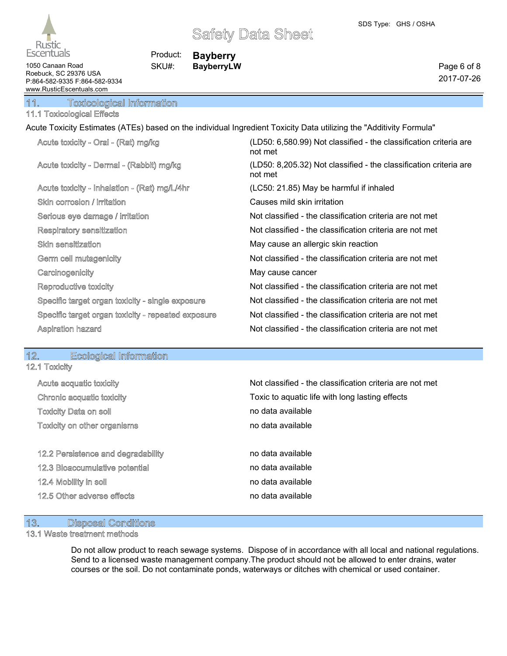

Product: **Bayberry** SKU#: **BayberryLW**

1050 Canaan Road Roebuck, SC 29376 USA P:864-582-9335 F:864-582-9334 www.RusticEscentuals.com

Page 6 of 8 2017-07-26

11. Toxicological Information

## 11.1 Toxicological Effects

Acute Toxicity Estimates (ATEs) based on the individual Ingredient Toxicity Data utilizing the "Additivity Formula"

| not met                                                                                                                  | (LD50: 6,580.99) Not classified - the classification criteria are |
|--------------------------------------------------------------------------------------------------------------------------|-------------------------------------------------------------------|
| Acute toxicity - Dermal - (Rabbit) mg/kg<br>(LD50: 8,205.32) Not classified - the classification criteria are<br>not met |                                                                   |
| Acute toxicity - Inhalation - (Rat) mg/L/4hr<br>(LC50: 21.85) May be harmful if inhaled                                  |                                                                   |
| Causes mild skin irritation<br>Skin corrosion / irritation                                                               |                                                                   |
| Serious eye damage / irritation<br>Not classified - the classification criteria are not met                              |                                                                   |
| Not classified - the classification criteria are not met<br>Respiratory sensitization                                    |                                                                   |
| May cause an allergic skin reaction<br>Skin sensitization                                                                |                                                                   |
| Not classified - the classification criteria are not met<br>Germ cell mutagenicity                                       |                                                                   |
| Carcinogenicity<br>May cause cancer                                                                                      |                                                                   |
| Not classified - the classification criteria are not met<br>Reproductive toxicity                                        |                                                                   |
| Not classified - the classification criteria are not met<br>Specific target organ toxicity - single exposure             |                                                                   |
| Not classified - the classification criteria are not met<br>Specific target organ toxicity - repeated exposure           |                                                                   |
| Aspiration hazard<br>Not classified - the classification criteria are not met                                            |                                                                   |

#### 12. Ecological Information 12.1 Toxicity

| Acute acquatic toxicity            | Not classified - the classification criteria are not met |
|------------------------------------|----------------------------------------------------------|
| Chronic acquatic toxicity          | Toxic to aquatic life with long lasting effects          |
| <b>Toxicity Data on soil</b>       | no data available                                        |
| Toxicity on other organisms        | no data available                                        |
| 12.2 Persistence and degradability | no data available                                        |
| 12.3 Bioaccumulative potential     | no data available                                        |
| 12.4 Mobility in soil              | no data available                                        |
| 12.5 Other adverse effects         | no data available                                        |

## 13. Disposal Conditions

### 13.1 Waste treatment methods

Do not allow product to reach sewage systems. Dispose of in accordance with all local and national regulations. Send to a licensed waste management company.The product should not be allowed to enter drains, water courses or the soil. Do not contaminate ponds, waterways or ditches with chemical or used container.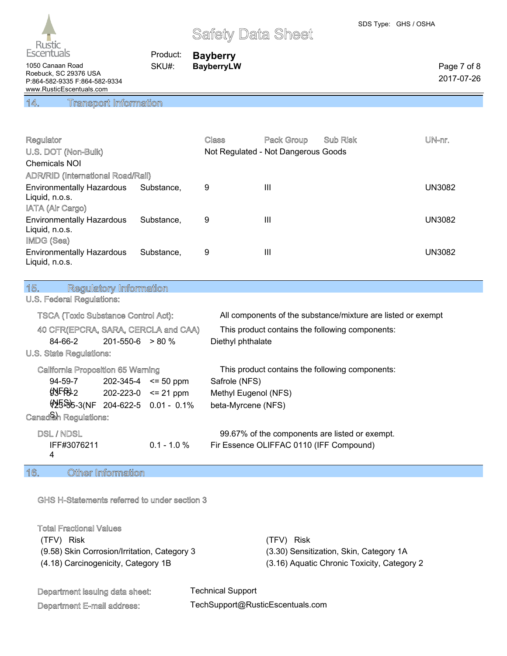

Product: **Bayberry** SKU#: **BayberryLW**

1050 Canaan Road Roebuck, SC 29376 USA P:864-582-9335 F:864-582-9334 www.RusticEscentuals.com

## 14. Transport Information

| Regulator                                                        |            | Class | Pack Group                          | Sub Risk | UN-nr.        |
|------------------------------------------------------------------|------------|-------|-------------------------------------|----------|---------------|
| U.S. DOT (Non-Bulk)                                              |            |       | Not Regulated - Not Dangerous Goods |          |               |
| <b>Chemicals NOI</b>                                             |            |       |                                     |          |               |
| <b>ADR/RID (International Road/Rail)</b>                         |            |       |                                     |          |               |
| <b>Environmentally Hazardous</b><br>Liquid, n.o.s.               | Substance. | 9     | Ш                                   |          | UN3082        |
| IATA (Air Cargo)                                                 |            |       |                                     |          |               |
| <b>Environmentally Hazardous</b><br>Liquid, n.o.s.<br>IMDG (Sea) | Substance. | 9     | $\mathbf{III}$                      |          | UN3082        |
| <b>Environmentally Hazardous</b><br>Liquid, n.o.s.               | Substance. | 9     | Ш                                   |          | <b>UN3082</b> |

## 15. Regulatory Information

## U.S. Federal Regulations:

| <b>TSCA (Toxic Substance Control Act):</b>   |                            |                            | All components of the substance/mixture are listed or exempt |
|----------------------------------------------|----------------------------|----------------------------|--------------------------------------------------------------|
| 40 CFR(EPCRA, SARA, CERCLA and CAA)          |                            |                            | This product contains the following components:              |
| 84-66-2                                      | $201 - 550 - 6$ > 80 %     |                            | Diethyl phthalate                                            |
| U.S. State Regulations:                      |                            |                            |                                                              |
| California Proposition 65 Warning            |                            |                            | This product contains the following components:              |
| 94-59-7                                      |                            | $202 - 345 - 4 \le 50$ ppm | Safrole (NFS)                                                |
| O <sub>2</sub>                               | $202 - 223 - 0 \le 21$ ppm |                            | Methyl Eugenol (NFS)                                         |
| $\frac{155}{35}$ -3(NF 204-622-5 0.01 - 0.1% |                            |                            | beta-Myrcene (NFS)                                           |
| Canadiah Regulations:                        |                            |                            |                                                              |

#### DSL / NDSL 99.67% of the components are listed or exempt.

| ---------   |                | <u>advance as the daily direction of a distance as direction</u> |
|-------------|----------------|------------------------------------------------------------------|
| IFF#3076211 | $0.1 - 1.0 \%$ | Fir Essence OLIFFAC 0110 (IFF Compound)                          |
|             |                |                                                                  |

## 16. Other Information

#### GHS H-Statements referred to under section 3

#### Total Fractional Values

| (TFV) Risk |                                              |
|------------|----------------------------------------------|
|            | (9.58) Skin Corrosion/Irritation, Category 3 |
|            | (4.18) Carcinogenicity, Category 1B          |

(TFV) Risk (TFV) Risk (3.30) Sensitization, Skin, Category 1A (3.16) Aquatic Chronic Toxicity, Category 2

## Department issuing data sheet:

Department E-mail address:

Technical Support TechSupport@RusticEscentuals.com Page 7 of 8 2017-07-26